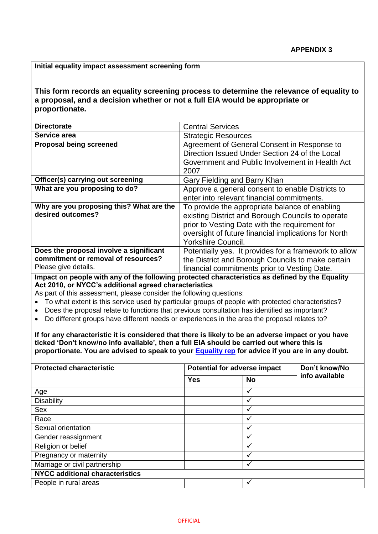## **Initial equality impact assessment screening form**

**This form records an equality screening process to determine the relevance of equality to a proposal, and a decision whether or not a full EIA would be appropriate or proportionate.**

| <b>Directorate</b>                       | <b>Central Services</b>                               |  |  |  |  |
|------------------------------------------|-------------------------------------------------------|--|--|--|--|
| Service area                             | <b>Strategic Resources</b>                            |  |  |  |  |
| <b>Proposal being screened</b>           | Agreement of General Consent in Response to           |  |  |  |  |
|                                          | Direction Issued Under Section 24 of the Local        |  |  |  |  |
|                                          | Government and Public Involvement in Health Act       |  |  |  |  |
|                                          | 2007                                                  |  |  |  |  |
| Officer(s) carrying out screening        | Gary Fielding and Barry Khan                          |  |  |  |  |
| What are you proposing to do?            | Approve a general consent to enable Districts to      |  |  |  |  |
|                                          | enter into relevant financial commitments.            |  |  |  |  |
| Why are you proposing this? What are the | To provide the appropriate balance of enabling        |  |  |  |  |
| desired outcomes?                        | existing District and Borough Councils to operate     |  |  |  |  |
|                                          | prior to Vesting Date with the requirement for        |  |  |  |  |
|                                          | oversight of future financial implications for North  |  |  |  |  |
|                                          | <b>Yorkshire Council.</b>                             |  |  |  |  |
| Does the proposal involve a significant  | Potentially yes. It provides for a framework to allow |  |  |  |  |
| commitment or removal of resources?      | the District and Borough Councils to make certain     |  |  |  |  |
| Please give details.                     | financial commitments prior to Vesting Date.          |  |  |  |  |

**Impact on people with any of the following protected characteristics as defined by the Equality Act 2010, or NYCC's additional agreed characteristics**

As part of this assessment, please consider the following questions:

- To what extent is this service used by particular groups of people with protected characteristics?
- Does the proposal relate to functions that previous consultation has identified as important?
- Do different groups have different needs or experiences in the area the proposal relates to?

**If for any characteristic it is considered that there is likely to be an adverse impact or you have ticked 'Don't know/no info available', then a full EIA should be carried out where this is proportionate. You are advised to speak to your [Equality rep](http://nyccintranet/content/equalities-contacts) for advice if you are in any doubt.**

| <b>Protected characteristic</b>        |            | <b>Potential for adverse impact</b> | Don't know/No  |  |
|----------------------------------------|------------|-------------------------------------|----------------|--|
|                                        | <b>Yes</b> | <b>No</b>                           | info available |  |
| Age                                    |            | √                                   |                |  |
| <b>Disability</b>                      |            |                                     |                |  |
| <b>Sex</b>                             |            | v                                   |                |  |
| Race                                   |            | v                                   |                |  |
| Sexual orientation                     |            | $\ddot{\phantom{0}}$                |                |  |
| Gender reassignment                    |            | $\checkmark$                        |                |  |
| Religion or belief                     |            | ✓                                   |                |  |
| Pregnancy or maternity                 |            | v                                   |                |  |
| Marriage or civil partnership          |            |                                     |                |  |
| <b>NYCC additional characteristics</b> |            |                                     |                |  |
| People in rural areas                  |            | $\checkmark$                        |                |  |